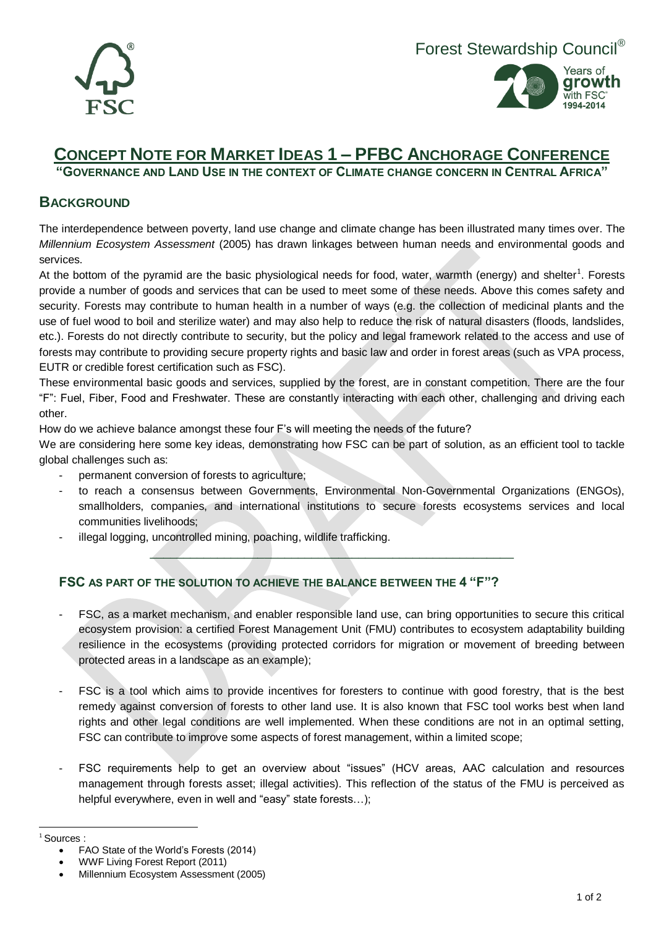



## **CONCEPT NOTE FOR MARKET IDEAS 1 – PFBC ANCHORAGE CONFERENCE**

**"GOVERNANCE AND LAND USE IN THE CONTEXT OF CLIMATE CHANGE CONCERN IN CENTRAL AFRICA"**

## **BACKGROUND**

The interdependence between poverty, land use change and climate change has been illustrated many times over. The *Millennium Ecosystem Assessment* (2005) has drawn linkages between human needs and environmental goods and services.

At the bottom of the pyramid are the basic physiological needs for food, water, warmth (energy) and shelter<sup>1</sup>. Forests provide a number of goods and services that can be used to meet some of these needs. Above this comes safety and security. Forests may contribute to human health in a number of ways (e.g. the collection of medicinal plants and the use of fuel wood to boil and sterilize water) and may also help to reduce the risk of natural disasters (floods, landslides, etc.). Forests do not directly contribute to security, but the policy and legal framework related to the access and use of forests may contribute to providing secure property rights and basic law and order in forest areas (such as VPA process, EUTR or credible forest certification such as FSC).

These environmental basic goods and services, supplied by the forest, are in constant competition. There are the four "F": Fuel, Fiber, Food and Freshwater. These are constantly interacting with each other, challenging and driving each other.

How do we achieve balance amongst these four F's will meeting the needs of the future?

We are considering here some key ideas, demonstrating how FSC can be part of solution, as an efficient tool to tackle global challenges such as:

- permanent conversion of forests to agriculture;
- to reach a consensus between Governments, Environmental Non-Governmental Organizations (ENGOs), smallholders, companies, and international institutions to secure forests ecosystems services and local communities livelihoods;

 $\overline{\phantom{a}}$  ,  $\overline{\phantom{a}}$  ,  $\overline{\phantom{a}}$  ,  $\overline{\phantom{a}}$  ,  $\overline{\phantom{a}}$  ,  $\overline{\phantom{a}}$  ,  $\overline{\phantom{a}}$  ,  $\overline{\phantom{a}}$  ,  $\overline{\phantom{a}}$  ,  $\overline{\phantom{a}}$  ,  $\overline{\phantom{a}}$  ,  $\overline{\phantom{a}}$  ,  $\overline{\phantom{a}}$  ,  $\overline{\phantom{a}}$  ,  $\overline{\phantom{a}}$  ,  $\overline{\phantom{a}}$ 

illegal logging, uncontrolled mining, poaching, wildlife trafficking.

## **FSC AS PART OF THE SOLUTION TO ACHIEVE THE BALANCE BETWEEN THE 4 "F"?**

- FSC, as a market mechanism, and enabler responsible land use, can bring opportunities to secure this critical ecosystem provision: a certified Forest Management Unit (FMU) contributes to ecosystem adaptability building resilience in the ecosystems (providing protected corridors for migration or movement of breeding between protected areas in a landscape as an example);
- FSC is a tool which aims to provide incentives for foresters to continue with good forestry, that is the best remedy against conversion of forests to other land use. It is also known that FSC tool works best when land rights and other legal conditions are well implemented. When these conditions are not in an optimal setting, FSC can contribute to improve some aspects of forest management, within a limited scope;
- FSC requirements help to get an overview about "issues" (HCV areas, AAC calculation and resources management through forests asset; illegal activities). This reflection of the status of the FMU is perceived as helpful everywhere, even in well and "easy" state forests...);

<sup>&</sup>lt;sup>1</sup> Sources :

FAO State of the World's Forests (2014)

WWF Living Forest Report (2011)

Millennium Ecosystem Assessment (2005)